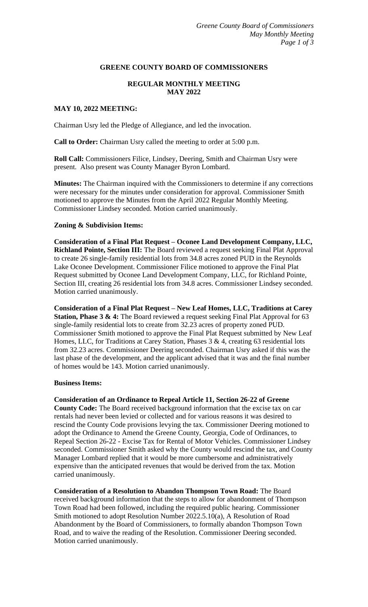### **GREENE COUNTY BOARD OF COMMISSIONERS**

# **REGULAR MONTHLY MEETING MAY 2022**

### **MAY 10, 2022 MEETING:**

Chairman Usry led the Pledge of Allegiance, and led the invocation.

**Call to Order:** Chairman Usry called the meeting to order at 5:00 p.m.

**Roll Call:** Commissioners Filice, Lindsey, Deering, Smith and Chairman Usry were present. Also present was County Manager Byron Lombard.

**Minutes:** The Chairman inquired with the Commissioners to determine if any corrections were necessary for the minutes under consideration for approval. Commissioner Smith motioned to approve the Minutes from the April 2022 Regular Monthly Meeting. Commissioner Lindsey seconded. Motion carried unanimously.

#### **Zoning & Subdivision Items:**

**Consideration of a Final Plat Request – Oconee Land Development Company, LLC, Richland Pointe, Section III:** The Board reviewed a request seeking Final Plat Approval to create 26 single-family residential lots from 34.8 acres zoned PUD in the Reynolds Lake Oconee Development. Commissioner Filice motioned to approve the Final Plat Request submitted by Oconee Land Development Company, LLC, for Richland Pointe, Section III, creating 26 residential lots from 34.8 acres. Commissioner Lindsey seconded. Motion carried unanimously.

**Consideration of a Final Plat Request – New Leaf Homes, LLC, Traditions at Carey Station, Phase 3 & 4:** The Board reviewed a request seeking Final Plat Approval for 63 single-family residential lots to create from 32.23 acres of property zoned PUD. Commissioner Smith motioned to approve the Final Plat Request submitted by New Leaf Homes, LLC, for Traditions at Carey Station, Phases 3 & 4, creating 63 residential lots from 32.23 acres. Commissioner Deering seconded. Chairman Usry asked if this was the last phase of the development, and the applicant advised that it was and the final number of homes would be 143. Motion carried unanimously.

#### **Business Items:**

**Consideration of an Ordinance to Repeal Article 11, Section 26-22 of Greene County Code:** The Board received background information that the excise tax on car rentals had never been levied or collected and for various reasons it was desired to rescind the County Code provisions levying the tax. Commissioner Deering motioned to adopt the Ordinance to Amend the Greene County, Georgia, Code of Ordinances, to Repeal Section 26-22 - Excise Tax for Rental of Motor Vehicles. Commissioner Lindsey seconded. Commissioner Smith asked why the County would rescind the tax, and County Manager Lombard replied that it would be more cumbersome and administratively expensive than the anticipated revenues that would be derived from the tax. Motion carried unanimously.

**Consideration of a Resolution to Abandon Thompson Town Road:** The Board received background information that the steps to allow for abandonment of Thompson Town Road had been followed, including the required public hearing. Commissioner Smith motioned to adopt Resolution Number 2022.5.10(a), A Resolution of Road Abandonment by the Board of Commissioners, to formally abandon Thompson Town Road, and to waive the reading of the Resolution. Commissioner Deering seconded. Motion carried unanimously.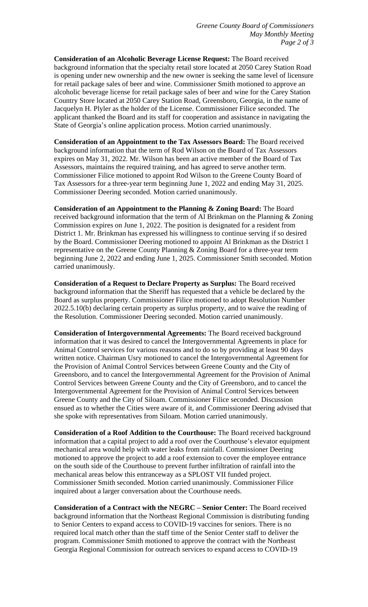**Consideration of an Alcoholic Beverage License Request:** The Board received background information that the specialty retail store located at 2050 Carey Station Road is opening under new ownership and the new owner is seeking the same level of licensure for retail package sales of beer and wine. Commissioner Smith motioned to approve an alcoholic beverage license for retail package sales of beer and wine for the Carey Station Country Store located at 2050 Carey Station Road, Greensboro, Georgia, in the name of Jacquelyn H. Plyler as the holder of the License. Commissioner Filice seconded. The applicant thanked the Board and its staff for cooperation and assistance in navigating the State of Georgia's online application process. Motion carried unanimously.

**Consideration of an Appointment to the Tax Assessors Board:** The Board received background information that the term of Rod Wilson on the Board of Tax Assessors expires on May 31, 2022. Mr. Wilson has been an active member of the Board of Tax Assessors, maintains the required training, and has agreed to serve another term. Commissioner Filice motioned to appoint Rod Wilson to the Greene County Board of Tax Assessors for a three-year term beginning June 1, 2022 and ending May 31, 2025. Commissioner Deering seconded. Motion carried unanimously.

**Consideration of an Appointment to the Planning & Zoning Board:** The Board received background information that the term of Al Brinkman on the Planning & Zoning Commission expires on June 1, 2022. The position is designated for a resident from District 1. Mr. Brinkman has expressed his willingness to continue serving if so desired by the Board. Commissioner Deering motioned to appoint Al Brinkman as the District 1 representative on the Greene County Planning & Zoning Board for a three-year term beginning June 2, 2022 and ending June 1, 2025. Commissioner Smith seconded. Motion carried unanimously.

**Consideration of a Request to Declare Property as Surplus:** The Board received background information that the Sheriff has requested that a vehicle be declared by the Board as surplus property. Commissioner Filice motioned to adopt Resolution Number 2022.5.10(b) declaring certain property as surplus property, and to waive the reading of the Resolution. Commissioner Deering seconded. Motion carried unanimously.

**Consideration of Intergovernmental Agreements:** The Board received background information that it was desired to cancel the Intergovernmental Agreements in place for Animal Control services for various reasons and to do so by providing at least 90 days written notice. Chairman Usry motioned to cancel the Intergovernmental Agreement for the Provision of Animal Control Services between Greene County and the City of Greensboro, and to cancel the Intergovernmental Agreement for the Provision of Animal Control Services between Greene County and the City of Greensboro, and to cancel the Intergovernmental Agreement for the Provision of Animal Control Services between Greene County and the City of Siloam. Commissioner Filice seconded. Discussion ensued as to whether the Cities were aware of it, and Commissioner Deering advised that she spoke with representatives from Siloam. Motion carried unanimously.

**Consideration of a Roof Addition to the Courthouse:** The Board received background information that a capital project to add a roof over the Courthouse's elevator equipment mechanical area would help with water leaks from rainfall. Commissioner Deering motioned to approve the project to add a roof extension to cover the employee entrance on the south side of the Courthouse to prevent further infiltration of rainfall into the mechanical areas below this entranceway as a SPLOST VII funded project. Commissioner Smith seconded. Motion carried unanimously. Commissioner Filice inquired about a larger conversation about the Courthouse needs.

**Consideration of a Contract with the NEGRC – Senior Center:** The Board received background information that the Northeast Regional Commission is distributing funding to Senior Centers to expand access to COVID-19 vaccines for seniors. There is no required local match other than the staff time of the Senior Center staff to deliver the program. Commissioner Smith motioned to approve the contract with the Northeast Georgia Regional Commission for outreach services to expand access to COVID-19